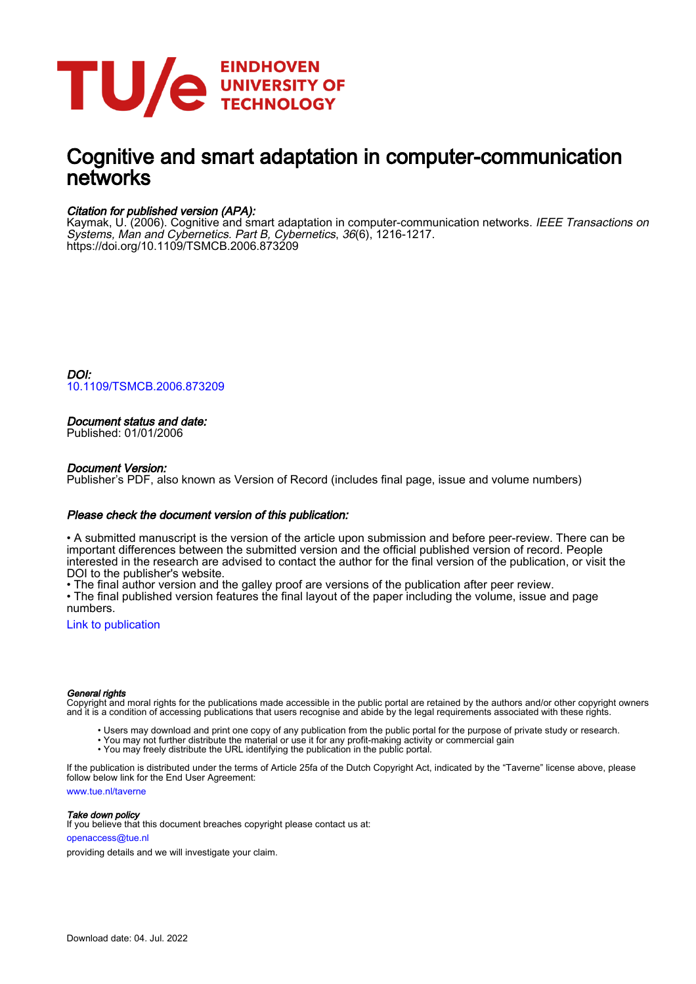

## Cognitive and smart adaptation in computer-communication networks

#### Citation for published version (APA):

Kaymak, U. (2006). Cognitive and smart adaptation in computer-communication networks. *IEEE Transactions on* Systems, Man and Cybernetics. Part B, Cybernetics, 36(6), 1216-1217. <https://doi.org/10.1109/TSMCB.2006.873209>

DOI: [10.1109/TSMCB.2006.873209](https://doi.org/10.1109/TSMCB.2006.873209)

### Document status and date:

Published: 01/01/2006

#### Document Version:

Publisher's PDF, also known as Version of Record (includes final page, issue and volume numbers)

#### Please check the document version of this publication:

• A submitted manuscript is the version of the article upon submission and before peer-review. There can be important differences between the submitted version and the official published version of record. People interested in the research are advised to contact the author for the final version of the publication, or visit the DOI to the publisher's website.

• The final author version and the galley proof are versions of the publication after peer review.

• The final published version features the final layout of the paper including the volume, issue and page numbers.

[Link to publication](https://research.tue.nl/en/publications/25197657-86e5-4005-a08b-8cb75078e31a)

#### General rights

Copyright and moral rights for the publications made accessible in the public portal are retained by the authors and/or other copyright owners and it is a condition of accessing publications that users recognise and abide by the legal requirements associated with these rights.

- Users may download and print one copy of any publication from the public portal for the purpose of private study or research.
- You may not further distribute the material or use it for any profit-making activity or commercial gain
- You may freely distribute the URL identifying the publication in the public portal.

If the publication is distributed under the terms of Article 25fa of the Dutch Copyright Act, indicated by the "Taverne" license above, please follow below link for the End User Agreement:

www.tue.nl/taverne

**Take down policy**<br>If you believe that this document breaches copyright please contact us at:

openaccess@tue.nl

providing details and we will investigate your claim.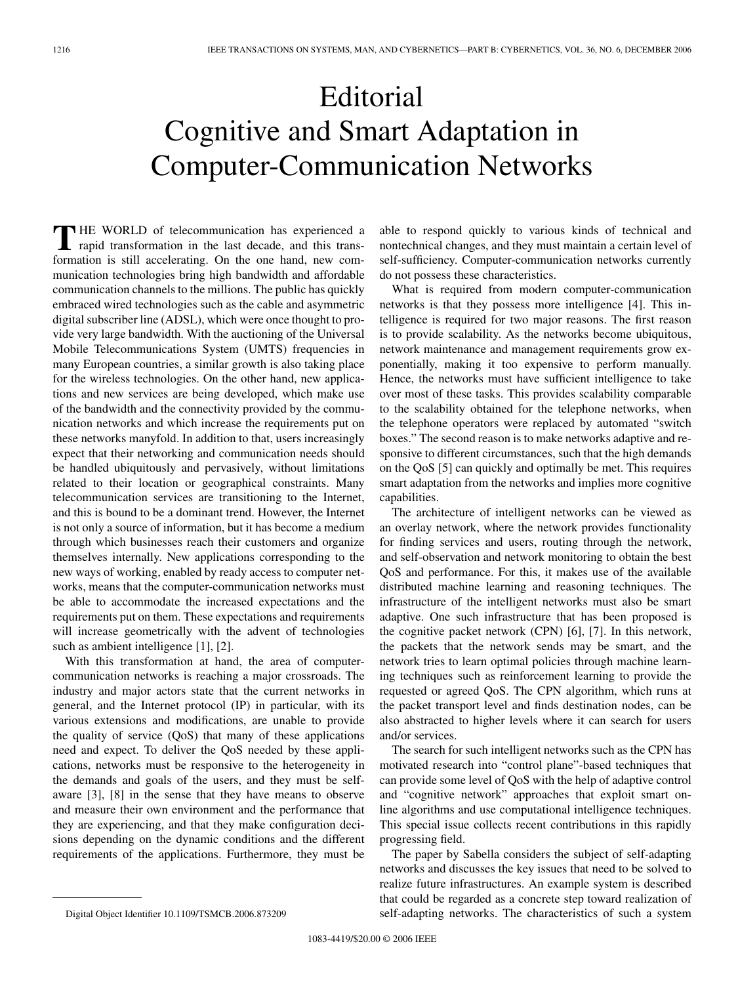# Editorial Cognitive and Smart Adaptation in Computer-Communication Networks

**T** HE WORLD of telecommunication has experienced a rapid transformation in the last decade, and this transformation is still accelerating. On the one hand, new communication technologies bring high bandwidth and affordable communication channels to the millions. The public has quickly embraced wired technologies such as the cable and asymmetric digital subscriber line (ADSL), which were once thought to provide very large bandwidth. With the auctioning of the Universal Mobile Telecommunications System (UMTS) frequencies in many European countries, a similar growth is also taking place for the wireless technologies. On the other hand, new applications and new services are being developed, which make use of the bandwidth and the connectivity provided by the communication networks and which increase the requirements put on these networks manyfold. In addition to that, users increasingly expect that their networking and communication needs should be handled ubiquitously and pervasively, without limitations related to their location or geographical constraints. Many telecommunication services are transitioning to the Internet, and this is bound to be a dominant trend. However, the Internet is not only a source of information, but it has become a medium through which businesses reach their customers and organize themselves internally. New applications corresponding to the new ways of working, enabled by ready access to computer networks, means that the computer-communication networks must be able to accommodate the increased expectations and the requirements put on them. These expectations and requirements will increase geometrically with the advent of technologies such as ambient intelligence [1], [2].

With this transformation at hand, the area of computercommunication networks is reaching a major crossroads. The industry and major actors state that the current networks in general, and the Internet protocol (IP) in particular, with its various extensions and modifications, are unable to provide the quality of service (QoS) that many of these applications need and expect. To deliver the QoS needed by these applications, networks must be responsive to the heterogeneity in the demands and goals of the users, and they must be selfaware [3], [8] in the sense that they have means to observe and measure their own environment and the performance that they are experiencing, and that they make configuration decisions depending on the dynamic conditions and the different requirements of the applications. Furthermore, they must be able to respond quickly to various kinds of technical and nontechnical changes, and they must maintain a certain level of self-sufficiency. Computer-communication networks currently do not possess these characteristics.

What is required from modern computer-communication networks is that they possess more intelligence [4]. This intelligence is required for two major reasons. The first reason is to provide scalability. As the networks become ubiquitous, network maintenance and management requirements grow exponentially, making it too expensive to perform manually. Hence, the networks must have sufficient intelligence to take over most of these tasks. This provides scalability comparable to the scalability obtained for the telephone networks, when the telephone operators were replaced by automated "switch boxes." The second reason is to make networks adaptive and responsive to different circumstances, such that the high demands on the QoS [5] can quickly and optimally be met. This requires smart adaptation from the networks and implies more cognitive capabilities.

The architecture of intelligent networks can be viewed as an overlay network, where the network provides functionality for finding services and users, routing through the network, and self-observation and network monitoring to obtain the best QoS and performance. For this, it makes use of the available distributed machine learning and reasoning techniques. The infrastructure of the intelligent networks must also be smart adaptive. One such infrastructure that has been proposed is the cognitive packet network (CPN) [6], [7]. In this network, the packets that the network sends may be smart, and the network tries to learn optimal policies through machine learning techniques such as reinforcement learning to provide the requested or agreed QoS. The CPN algorithm, which runs at the packet transport level and finds destination nodes, can be also abstracted to higher levels where it can search for users and/or services.

The search for such intelligent networks such as the CPN has motivated research into "control plane"-based techniques that can provide some level of QoS with the help of adaptive control and "cognitive network" approaches that exploit smart online algorithms and use computational intelligence techniques. This special issue collects recent contributions in this rapidly progressing field.

The paper by Sabella considers the subject of self-adapting networks and discusses the key issues that need to be solved to realize future infrastructures. An example system is described that could be regarded as a concrete step toward realization of self-adapting networks. The characteristics of such a system

Digital Object Identifier 10.1109/TSMCB.2006.873209